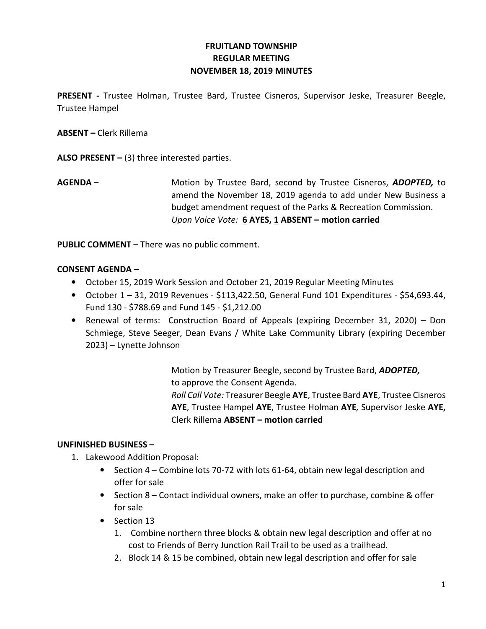# FRUITLAND TOWNSHIP REGULAR MEETING NOVEMBER 18, 2019 MINUTES

PRESENT - Trustee Holman, Trustee Bard, Trustee Cisneros, Supervisor Jeske, Treasurer Beegle, Trustee Hampel

ABSENT – Clerk Rillema

ALSO PRESENT  $-$  (3) three interested parties.

AGENDA – Motion by Trustee Bard, second by Trustee Cisneros, ADOPTED, to amend the November 18, 2019 agenda to add under New Business a budget amendment request of the Parks & Recreation Commission. Upon Voice Vote: 6 AYES, 1 ABSENT – motion carried

PUBLIC COMMENT – There was no public comment.

### CONSENT AGENDA –

- October 15, 2019 Work Session and October 21, 2019 Regular Meeting Minutes
- October  $1 31$ , 2019 Revenues \$113,422.50, General Fund 101 Expenditures \$54,693.44, Fund 130 - \$788.69 and Fund 145 - \$1,212.00
- Renewal of terms: Construction Board of Appeals (expiring December 31, 2020) Don Schmiege, Steve Seeger, Dean Evans / White Lake Community Library (expiring December 2023) – Lynette Johnson

 Motion by Treasurer Beegle, second by Trustee Bard, ADOPTED, to approve the Consent Agenda. Roll Call Vote: Treasurer Beegle AYE, Trustee Bard AYE, Trustee Cisneros AYE, Trustee Hampel AYE, Trustee Holman AYE, Supervisor Jeske AYE, Clerk Rillema ABSENT – motion carried

## UNFINISHED BUSINESS –

- 1. Lakewood Addition Proposal:
	- Section 4 Combine lots 70-72 with lots 61-64, obtain new legal description and offer for sale
	- Section 8 Contact individual owners, make an offer to purchase, combine & offer for sale
	- Section 13
		- 1. Combine northern three blocks & obtain new legal description and offer at no cost to Friends of Berry Junction Rail Trail to be used as a trailhead.
		- 2. Block 14 & 15 be combined, obtain new legal description and offer for sale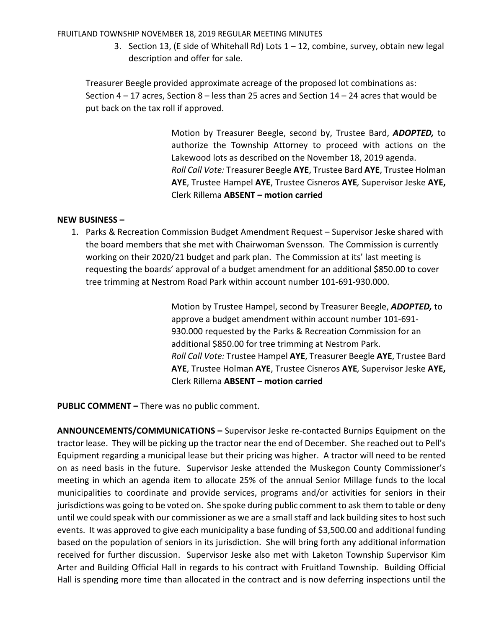FRUITLAND TOWNSHIP NOVEMBER 18, 2019 REGULAR MEETING MINUTES

3. Section 13, (E side of Whitehall Rd) Lots  $1 - 12$ , combine, survey, obtain new legal description and offer for sale.

Treasurer Beegle provided approximate acreage of the proposed lot combinations as: Section  $4 - 17$  acres, Section  $8 -$  less than 25 acres and Section  $14 - 24$  acres that would be put back on the tax roll if approved.

> Motion by Treasurer Beegle, second by, Trustee Bard, ADOPTED, to authorize the Township Attorney to proceed with actions on the Lakewood lots as described on the November 18, 2019 agenda. Roll Call Vote: Treasurer Beegle AYE, Trustee Bard AYE, Trustee Holman AYE, Trustee Hampel AYE, Trustee Cisneros AYE, Supervisor Jeske AYE, Clerk Rillema ABSENT – motion carried

#### NEW BUSINESS –

1. Parks & Recreation Commission Budget Amendment Request – Supervisor Jeske shared with the board members that she met with Chairwoman Svensson. The Commission is currently working on their 2020/21 budget and park plan. The Commission at its' last meeting is requesting the boards' approval of a budget amendment for an additional \$850.00 to cover tree trimming at Nestrom Road Park within account number 101-691-930.000.

> Motion by Trustee Hampel, second by Treasurer Beegle, ADOPTED, to approve a budget amendment within account number 101-691- 930.000 requested by the Parks & Recreation Commission for an additional \$850.00 for tree trimming at Nestrom Park. Roll Call Vote: Trustee Hampel AYE, Treasurer Beegle AYE, Trustee Bard AYE, Trustee Holman AYE, Trustee Cisneros AYE, Supervisor Jeske AYE, Clerk Rillema ABSENT – motion carried

PUBLIC COMMENT - There was no public comment.

ANNOUNCEMENTS/COMMUNICATIONS – Supervisor Jeske re-contacted Burnips Equipment on the tractor lease. They will be picking up the tractor near the end of December. She reached out to Pell's Equipment regarding a municipal lease but their pricing was higher. A tractor will need to be rented on as need basis in the future. Supervisor Jeske attended the Muskegon County Commissioner's meeting in which an agenda item to allocate 25% of the annual Senior Millage funds to the local municipalities to coordinate and provide services, programs and/or activities for seniors in their jurisdictions was going to be voted on. She spoke during public comment to ask them to table or deny until we could speak with our commissioner as we are a small staff and lack building sites to host such events. It was approved to give each municipality a base funding of \$3,500.00 and additional funding based on the population of seniors in its jurisdiction. She will bring forth any additional information received for further discussion. Supervisor Jeske also met with Laketon Township Supervisor Kim Arter and Building Official Hall in regards to his contract with Fruitland Township. Building Official Hall is spending more time than allocated in the contract and is now deferring inspections until the